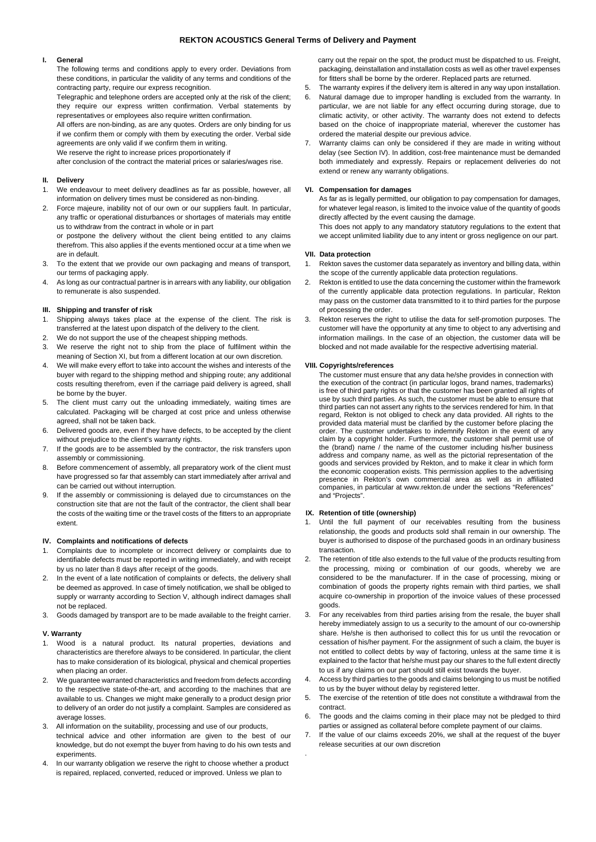## **REKTON ACOUSTICS General Terms of Delivery and Payment**

# **I. General**

The following terms and conditions apply to every order. Deviations from these conditions, in particular the validity of any terms and conditions of the contracting party, require our express recognition.

Telegraphic and telephone orders are accepted only at the risk of the client; they require our express written confirmation. Verbal statements by representatives or employees also require written confirmation.

All offers are non-binding, as are any quotes. Orders are only binding for us if we confirm them or comply with them by executing the order. Verbal side agreements are only valid if we confirm them in writing.

We reserve the right to increase prices proportionately if

after conclusion of the contract the material prices or salaries/wages rise.

### **II. Delivery**

- 1. We endeavour to meet delivery deadlines as far as possible, however, all information on delivery times must be considered as non-binding.
- 2. Force majeure, inability not of our own or our suppliers fault. In particular, any traffic or operational disturbances or shortages of materials may entitle us to withdraw from the contract in whole or in part or postpone the delivery without the client being entitled to any claims

therefrom. This also applies if the events mentioned occur at a time when we are in default.

- To the extent that we provide our own packaging and means of transport, our terms of packaging apply.
- 4. As long as our contractual partner is in arrears with any liability, our obligation to remunerate is also suspended.

#### **III. Shipping and transfer of risk**

- 1. Shipping always takes place at the expense of the client. The risk is transferred at the latest upon dispatch of the delivery to the client.
- 2. We do not support the use of the cheapest shipping methods.
- 3. We reserve the right not to ship from the place of fulfilment within the meaning of Section XI, but from a different location at our own discretion.
- 4. We will make every effort to take into account the wishes and interests of the buyer with regard to the shipping method and shipping route; any additional costs resulting therefrom, even if the carriage paid delivery is agreed, shall be borne by the buyer.
- 5. The client must carry out the unloading immediately, waiting times are calculated. Packaging will be charged at cost price and unless otherwise agreed, shall not be taken back.
- 6. Delivered goods are, even if they have defects, to be accepted by the client without prejudice to the client's warranty rights.
- 7. If the goods are to be assembled by the contractor, the risk transfers upon assembly or commissioning.
- 8. Before commencement of assembly, all preparatory work of the client must have progressed so far that assembly can start immediately after arrival and can be carried out without interruption.
- 9. If the assembly or commissioning is delayed due to circumstances on the construction site that are not the fault of the contractor, the client shall bear the costs of the waiting time or the travel costs of the fitters to an appropriate extent.

## **IV. Complaints and notifications of defects**

- 1. Complaints due to incomplete or incorrect delivery or complaints due to identifiable defects must be reported in writing immediately, and with receipt by us no later than 8 days after receipt of the goods.
- 2. In the event of a late notification of complaints or defects, the delivery shall be deemed as approved. In case of timely notification, we shall be obliged to supply or warranty according to Section V, although indirect damages shall not be replaced.
- 3. Goods damaged by transport are to be made available to the freight carrier.

### **V. Warranty**

- 1. Wood is a natural product. Its natural properties, deviations and characteristics are therefore always to be considered. In particular, the client has to make consideration of its biological, physical and chemical properties when placing an order.
- 2. We guarantee warranted characteristics and freedom from defects according to the respective state-of-the-art, and according to the machines that are available to us. Changes we might make generally to a product design prior to delivery of an order do not justify a complaint. Samples are considered as average losses.
- 3. All information on the suitability, processing and use of our products, technical advice and other information are given to the best of our knowledge, but do not exempt the buyer from having to do his own tests and experiments.
- 4. In our warranty obligation we reserve the right to choose whether a product is repaired, replaced, converted, reduced or improved. Unless we plan to

 carry out the repair on the spot, the product must be dispatched to us. Freight, packaging, deinstallation and installation costs as well as other travel expenses for fitters shall be borne by the orderer. Replaced parts are returned.

- 5. The warranty expires if the delivery item is altered in any way upon installation.
- 6. Natural damage due to improper handling is excluded from the warranty. In particular, we are not liable for any effect occurring during storage, due to climatic activity, or other activity. The warranty does not extend to defects based on the choice of inappropriate material, wherever the customer has ordered the material despite our previous advice.
- 7. Warranty claims can only be considered if they are made in writing without delay (see Section IV). In addition, cost-free maintenance must be demanded both immediately and expressly. Repairs or replacement deliveries do not extend or renew any warranty obligations.

### **VI. Compensation for damages**

As far as is legally permitted, our obligation to pay compensation for damages, for whatever legal reason, is limited to the invoice value of the quantity of goods directly affected by the event causing the damage.

This does not apply to any mandatory statutory regulations to the extent that we accept unlimited liability due to any intent or gross negligence on our part.

#### **VII. Data protection**

- 1. Rekton saves the customer data separately as inventory and billing data, within the scope of the currently applicable data protection regulations.
- 2. Rekton is entitled to use the data concerning the customer within the framework of the currently applicable data protection regulations. In particular, Rekton may pass on the customer data transmitted to it to third parties for the purpose of processing the order.
- 3. Rekton reserves the right to utilise the data for self-promotion purposes. The customer will have the opportunity at any time to object to any advertising and information mailings. In the case of an objection, the customer data will be blocked and not made available for the respective advertising material.

## **VIII. Copyrights/references**

The customer must ensure that any data he/she provides in connection with the execution of the contract (in particular logos, brand names, trademarks) is free of third party rights or that the customer has been granted all rights of use by such third parties. As such, the customer must be able to ensure that third parties can not assert any rights to the services rendered for him. In that regard, Rekton is not obliged to check any data provided. All rights to the provided data material must be clarified by the customer before placing the order. The customer undertakes to indemnify Rekton in the event of any claim by a copyright holder. Furthermore, the customer shall permit use of the (brand) name / the name of the customer including his/her business address and company name, as well as the pictorial representation of the goods and services provided by Rekton, and to make it clear in which form the economic cooperation exists. This permission applies to the advertising presence in Rekton's own commercial area as well as in affiliated companies, in particular at www.rekton.de under the sections "References" and "Projects".

#### **IX. Retention of title (ownership)**

.

- 1. Until the full payment of our receivables resulting from the business relationship, the goods and products sold shall remain in our ownership. The buyer is authorised to dispose of the purchased goods in an ordinary business transaction.
- 2. The retention of title also extends to the full value of the products resulting from the processing, mixing or combination of our goods, whereby we are considered to be the manufacturer. If in the case of processing, mixing or combination of goods the property rights remain with third parties, we shall acquire co-ownership in proportion of the invoice values of these processed goods.
- 3. For any receivables from third parties arising from the resale, the buyer shall hereby immediately assign to us a security to the amount of our co-ownership share. He/she is then authorised to collect this for us until the revocation or cessation of his/her payment. For the assignment of such a claim, the buyer is not entitled to collect debts by way of factoring, unless at the same time it is explained to the factor that he/she must pay our shares to the full extent directly to us if any claims on our part should still exist towards the buyer.
- 4. Access by third parties to the goods and claims belonging to us must be notified to us by the buyer without delay by registered letter.
- 5. The exercise of the retention of title does not constitute a withdrawal from the contract.
- 6. The goods and the claims coming in their place may not be pledged to third parties or assigned as collateral before complete payment of our claims.
- 7. If the value of our claims exceeds 20%, we shall at the request of the buyer release securities at our own discretion